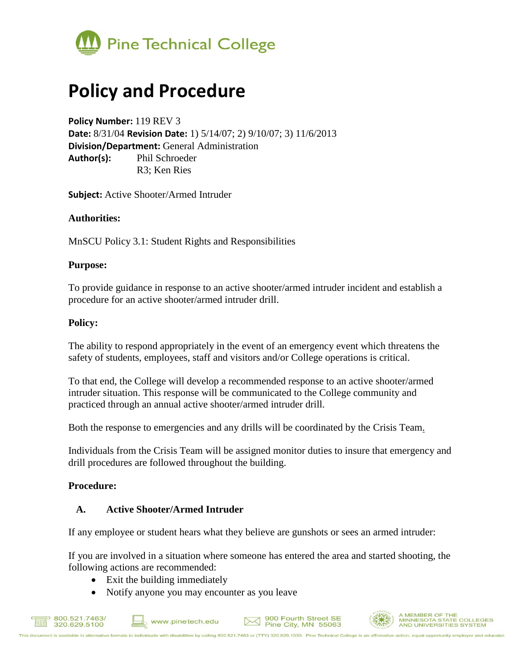

# **Policy and Procedure**

**Policy Number:** 119 REV 3 **Date:** 8/31/04 **Revision Date:** 1) 5/14/07; 2) 9/10/07; 3) 11/6/2013 **Division/Department:** General Administration **Author(s):** Phil Schroeder R3; Ken Ries

**Subject:** Active Shooter/Armed Intruder

# **Authorities:**

MnSCU Policy 3.1: Student Rights and Responsibilities

#### **Purpose:**

To provide guidance in response to an active shooter/armed intruder incident and establish a procedure for an active shooter/armed intruder drill.

#### **Policy:**

The ability to respond appropriately in the event of an emergency event which threatens the safety of students, employees, staff and visitors and/or College operations is critical.

To that end, the College will develop a recommended response to an active shooter/armed intruder situation. This response will be communicated to the College community and practiced through an annual active shooter/armed intruder drill.

Both the response to emergencies and any drills will be coordinated by the Crisis Team.

Individuals from the Crisis Team will be assigned monitor duties to insure that emergency and drill procedures are followed throughout the building.

# **Procedure:**

#### **A. Active Shooter/Armed Intruder**

If any employee or student hears what they believe are gunshots or sees an armed intruder:

If you are involved in a situation where someone has entered the area and started shooting, the following actions are recommended:

- Exit the building immediately
- Notify anyone you may encounter as you leave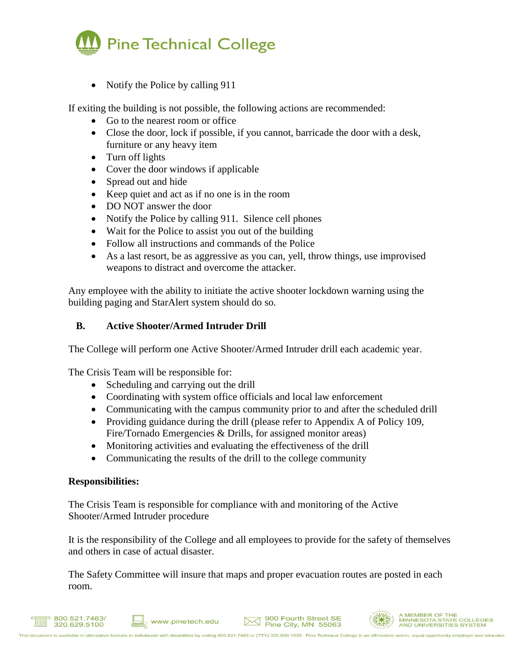

• Notify the Police by calling 911

If exiting the building is not possible, the following actions are recommended:

- Go to the nearest room or office
- Close the door, lock if possible, if you cannot, barricade the door with a desk, furniture or any heavy item
- Turn off lights
- Cover the door windows if applicable
- Spread out and hide
- Keep quiet and act as if no one is in the room
- DO NOT answer the door
- Notify the Police by calling 911. Silence cell phones
- Wait for the Police to assist you out of the building
- Follow all instructions and commands of the Police
- As a last resort, be as aggressive as you can, yell, throw things, use improvised weapons to distract and overcome the attacker.

Any employee with the ability to initiate the active shooter lockdown warning using the building paging and StarAlert system should do so.

# **B. Active Shooter/Armed Intruder Drill**

The College will perform one Active Shooter/Armed Intruder drill each academic year.

The Crisis Team will be responsible for:

- Scheduling and carrying out the drill
- Coordinating with system office officials and local law enforcement
- Communicating with the campus community prior to and after the scheduled drill
- Providing guidance during the drill (please refer to Appendix A of Policy 109, Fire/Tornado Emergencies & Drills, for assigned monitor areas)
- Monitoring activities and evaluating the effectiveness of the drill
- Communicating the results of the drill to the college community

# **Responsibilities:**

The Crisis Team is responsible for compliance with and monitoring of the Active Shooter/Armed Intruder procedure

It is the responsibility of the College and all employees to provide for the safety of themselves and others in case of actual disaster.

The Safety Committee will insure that maps and proper evacuation routes are posted in each room.